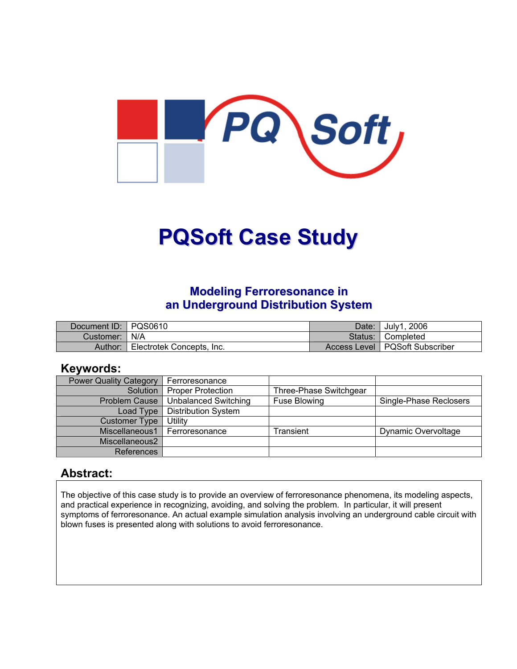

# **PQSoft Case Study**

## **Modeling Ferroresonance in an Underground Distribution System**

| Document ID: PQS0610 |                           | Date: I | <sup>'</sup> July1, 2006         |
|----------------------|---------------------------|---------|----------------------------------|
| Customer:   N/A      |                           |         | Status: Completed                |
| Author:              | Electrotek Concepts, Inc. |         | Access Level   PQSoft Subscriber |

#### **Keywords:**

| <b>Power Quality Category</b> | Ferroresonance              |                        |                        |
|-------------------------------|-----------------------------|------------------------|------------------------|
| Solution                      | <b>Proper Protection</b>    | Three-Phase Switchgear |                        |
| <b>Problem Cause</b>          | <b>Unbalanced Switching</b> | Fuse Blowing           | Single-Phase Reclosers |
| Load Type                     | <b>Distribution System</b>  |                        |                        |
| <b>Customer Type</b>          | Utility                     |                        |                        |
| Miscellaneous1                | Ferroresonance              | Transient              | Dynamic Overvoltage    |
| Miscellaneous2                |                             |                        |                        |
| References                    |                             |                        |                        |

#### **Abstract:**

The objective of this case study is to provide an overview of ferroresonance phenomena, its modeling aspects, and practical experience in recognizing, avoiding, and solving the problem. In particular, it will present symptoms of ferroresonance. An actual example simulation analysis involving an underground cable circuit with blown fuses is presented along with solutions to avoid ferroresonance.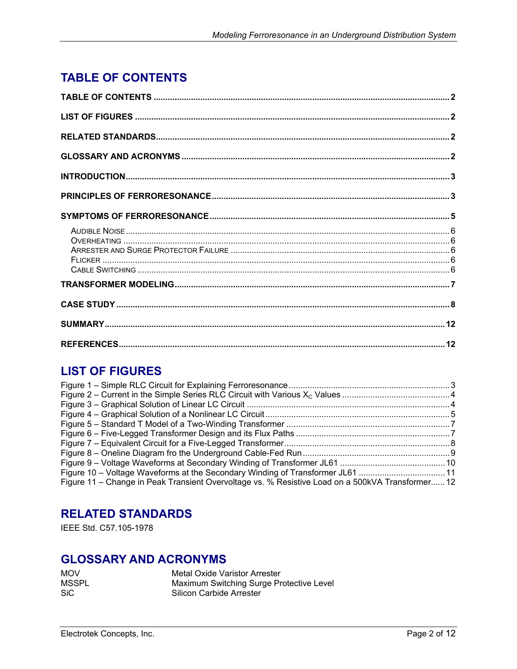# <span id="page-1-0"></span>**TABLE OF CONTENTS**

# **LIST OF FIGURES**

| Figure 10 – Voltage Waveforms at the Secondary Winding of Transformer JL61 11                    |  |
|--------------------------------------------------------------------------------------------------|--|
| Figure 11 – Change in Peak Transient Overvoltage vs. % Resistive Load on a 500kVA Transformer 12 |  |

### **RELATED STANDARDS**

IEEE Std. C57.105-1978

#### **GLOSSARY AND ACRONYMS**

| <b>MOV</b> | Metal Oxide Varistor Arrester            |
|------------|------------------------------------------|
| MSSPL      | Maximum Switching Surge Protective Level |
| <b>SiC</b> | Silicon Carbide Arrester                 |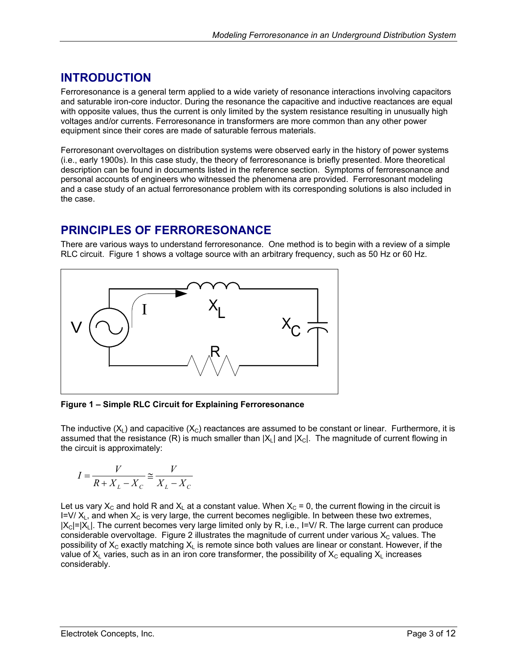# <span id="page-2-0"></span>**INTRODUCTION**

Ferroresonance is a general term applied to a wide variety of resonance interactions involving capacitors and saturable iron-core inductor. During the resonance the capacitive and inductive reactances are equal with opposite values, thus the current is only limited by the system resistance resulting in unusually high voltages and/or currents. Ferroresonance in transformers are more common than any other power equipment since their cores are made of saturable ferrous materials.

Ferroresonant overvoltages on distribution systems were observed early in the history of power systems (i.e., early 1900s). In this case study, the theory of ferroresonance is briefly presented. More theoretical description can be found in documents listed in the reference section. Symptoms of ferroresonance and personal accounts of engineers who witnessed the phenomena are provided. Ferroresonant modeling and a case study of an actual ferroresonance problem with its corresponding solutions is also included in the case.

## **PRINCIPLES OF FERRORESONANCE**

There are various ways to understand ferroresonance. One method is to begin with a review of a simple RLC circuit. [Figure 1](#page-2-1) shows a voltage source with an arbitrary frequency, such as 50 Hz or 60 Hz.

<span id="page-2-1"></span>

**Figure 1 – Simple RLC Circuit for Explaining Ferroresonance** 

The inductive  $(X_1)$  and capacitive  $(X_2)$  reactances are assumed to be constant or linear. Furthermore, it is assumed that the resistance (R) is much smaller than  $|X_1|$  and  $|X_2|$ . The magnitude of current flowing in the circuit is approximately:

$$
I = \frac{V}{R + X_L - X_C} \cong \frac{V}{X_L - X_C}
$$

Let us vary  $X_c$  and hold R and  $X_L$  at a constant value. When  $X_c = 0$ , the current flowing in the circuit is I=V/ $X_L$ , and when  $X_C$  is very large, the current becomes negligible. In between these two extremes,  $|X_c|=|X_c|$ . The current becomes very large limited only by R, i.e., I=V/ R. The large current can produce considerable overvoltage. [Figure 2](#page-3-1) illustrates the magnitude of current under various  $X_c$  values. The possibility of  $X_c$  exactly matching  $X_L$  is remote since both values are linear or constant. However, if the value of  $X_L$  varies, such as in an iron core transformer, the possibility of  $X_C$  equaling  $X_L$  increases considerably.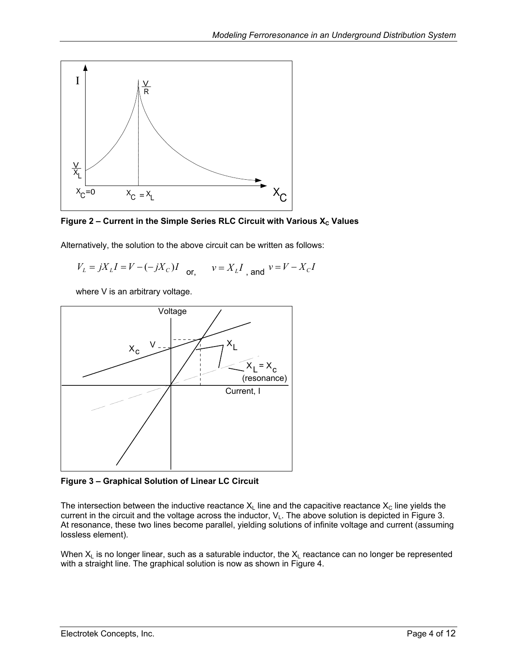<span id="page-3-1"></span><span id="page-3-0"></span>



Alternatively, the solution to the above circuit can be written as follows:

 $V_L = jX_L I = V - (-jX_C)I$  or,  $v = X_L I$  and  $v = V - X_C I$ 

where V is an arbitrary voltage.

<span id="page-3-2"></span>

**Figure 3 – Graphical Solution of Linear LC Circuit** 

The intersection between the inductive reactance  $X_L$  line and the capacitive reactance  $X_C$  line yields the current in the circuit and the voltage across the inductor,  $V_L$ . The above solution is depicted in [Figure 3.](#page-3-2) At resonance, these two lines become parallel, yielding solutions of infinite voltage and current (assuming lossless element).

When  $X_L$  is no longer linear, such as a saturable inductor, the  $X_L$  reactance can no longer be represented with a straight line. The graphical solution is now as shown in [Figure 4.](#page-4-1)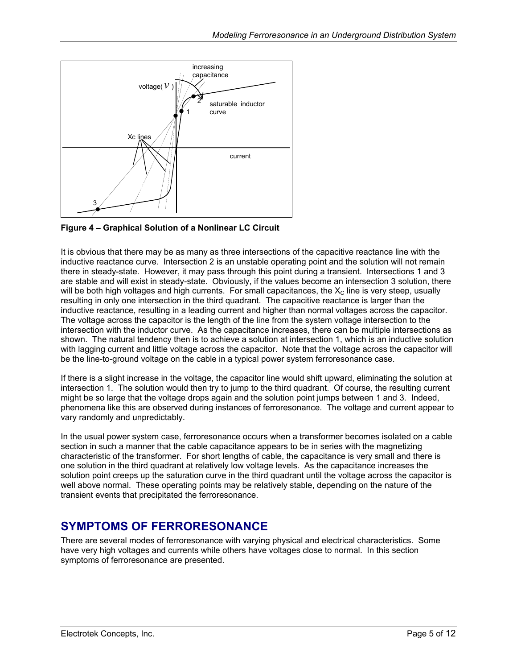<span id="page-4-1"></span><span id="page-4-0"></span>

**Figure 4 – Graphical Solution of a Nonlinear LC Circuit** 

It is obvious that there may be as many as three intersections of the capacitive reactance line with the inductive reactance curve. Intersection 2 is an unstable operating point and the solution will not remain there in steady-state. However, it may pass through this point during a transient. Intersections 1 and 3 are stable and will exist in steady-state. Obviously, if the values become an intersection 3 solution, there will be both high voltages and high currents. For small capacitances, the  $X_c$  line is very steep, usually resulting in only one intersection in the third quadrant. The capacitive reactance is larger than the inductive reactance, resulting in a leading current and higher than normal voltages across the capacitor. The voltage across the capacitor is the length of the line from the system voltage intersection to the intersection with the inductor curve. As the capacitance increases, there can be multiple intersections as shown. The natural tendency then is to achieve a solution at intersection 1, which is an inductive solution with lagging current and little voltage across the capacitor. Note that the voltage across the capacitor will be the line-to-ground voltage on the cable in a typical power system ferroresonance case.

If there is a slight increase in the voltage, the capacitor line would shift upward, eliminating the solution at intersection 1. The solution would then try to jump to the third quadrant. Of course, the resulting current might be so large that the voltage drops again and the solution point jumps between 1 and 3. Indeed, phenomena like this are observed during instances of ferroresonance. The voltage and current appear to vary randomly and unpredictably.

In the usual power system case, ferroresonance occurs when a transformer becomes isolated on a cable section in such a manner that the cable capacitance appears to be in series with the magnetizing characteristic of the transformer. For short lengths of cable, the capacitance is very small and there is one solution in the third quadrant at relatively low voltage levels. As the capacitance increases the solution point creeps up the saturation curve in the third quadrant until the voltage across the capacitor is well above normal. These operating points may be relatively stable, depending on the nature of the transient events that precipitated the ferroresonance.

# **SYMPTOMS OF FERRORESONANCE**

There are several modes of ferroresonance with varying physical and electrical characteristics. Some have very high voltages and currents while others have voltages close to normal. In this section symptoms of ferroresonance are presented.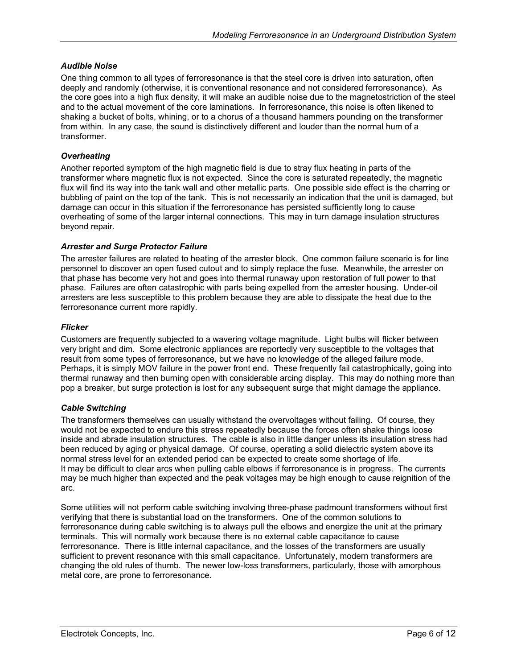#### <span id="page-5-0"></span>*Audible Noise*

One thing common to all types of ferroresonance is that the steel core is driven into saturation, often deeply and randomly (otherwise, it is conventional resonance and not considered ferroresonance). As the core goes into a high flux density, it will make an audible noise due to the magnetostriction of the steel and to the actual movement of the core laminations. In ferroresonance, this noise is often likened to shaking a bucket of bolts, whining, or to a chorus of a thousand hammers pounding on the transformer from within. In any case, the sound is distinctively different and louder than the normal hum of a transformer.

#### *Overheating*

Another reported symptom of the high magnetic field is due to stray flux heating in parts of the transformer where magnetic flux is not expected. Since the core is saturated repeatedly, the magnetic flux will find its way into the tank wall and other metallic parts. One possible side effect is the charring or bubbling of paint on the top of the tank. This is not necessarily an indication that the unit is damaged, but damage can occur in this situation if the ferroresonance has persisted sufficiently long to cause overheating of some of the larger internal connections. This may in turn damage insulation structures beyond repair.

#### *Arrester and Surge Protector Failure*

The arrester failures are related to heating of the arrester block. One common failure scenario is for line personnel to discover an open fused cutout and to simply replace the fuse. Meanwhile, the arrester on that phase has become very hot and goes into thermal runaway upon restoration of full power to that phase. Failures are often catastrophic with parts being expelled from the arrester housing. Under-oil arresters are less susceptible to this problem because they are able to dissipate the heat due to the ferroresonance current more rapidly.

#### *Flicker*

Customers are frequently subjected to a wavering voltage magnitude. Light bulbs will flicker between very bright and dim. Some electronic appliances are reportedly very susceptible to the voltages that result from some types of ferroresonance, but we have no knowledge of the alleged failure mode. Perhaps, it is simply MOV failure in the power front end. These frequently fail catastrophically, going into thermal runaway and then burning open with considerable arcing display. This may do nothing more than pop a breaker, but surge protection is lost for any subsequent surge that might damage the appliance.

#### *Cable Switching*

The transformers themselves can usually withstand the overvoltages without failing. Of course, they would not be expected to endure this stress repeatedly because the forces often shake things loose inside and abrade insulation structures. The cable is also in little danger unless its insulation stress had been reduced by aging or physical damage. Of course, operating a solid dielectric system above its normal stress level for an extended period can be expected to create some shortage of life. It may be difficult to clear arcs when pulling cable elbows if ferroresonance is in progress. The currents may be much higher than expected and the peak voltages may be high enough to cause reignition of the arc.

Some utilities will not perform cable switching involving three-phase padmount transformers without first verifying that there is substantial load on the transformers. One of the common solutions to ferroresonance during cable switching is to always pull the elbows and energize the unit at the primary terminals. This will normally work because there is no external cable capacitance to cause ferroresonance. There is little internal capacitance, and the losses of the transformers are usually sufficient to prevent resonance with this small capacitance. Unfortunately, modern transformers are changing the old rules of thumb. The newer low-loss transformers, particularly, those with amorphous metal core, are prone to ferroresonance.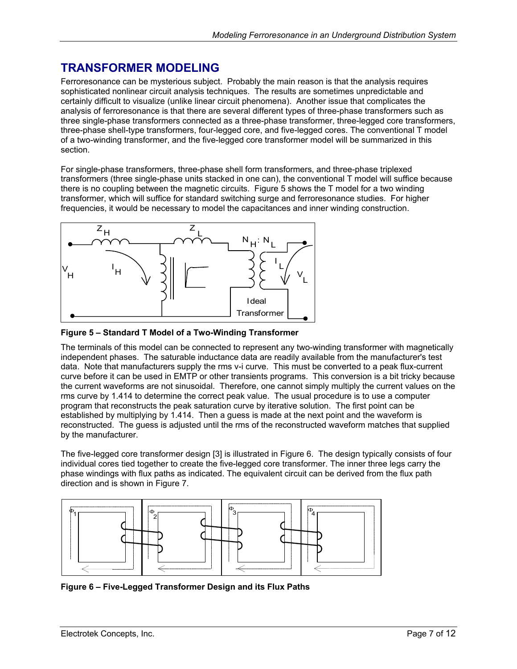## <span id="page-6-0"></span>**TRANSFORMER MODELING**

Ferroresonance can be mysterious subject. Probably the main reason is that the analysis requires sophisticated nonlinear circuit analysis techniques. The results are sometimes unpredictable and certainly difficult to visualize (unlike linear circuit phenomena). Another issue that complicates the analysis of ferroresonance is that there are several different types of three-phase transformers such as three single-phase transformers connected as a three-phase transformer, three-legged core transformers, three-phase shell-type transformers, four-legged core, and five-legged cores. The conventional T model of a two-winding transformer, and the five-legged core transformer model will be summarized in this section.

For single-phase transformers, three-phase shell form transformers, and three-phase triplexed transformers (three single-phase units stacked in one can), the conventional T model will suffice because there is no coupling between the magnetic circuits. [Figure 5 s](#page-6-1)hows the T model for a two winding transformer, which will suffice for standard switching surge and ferroresonance studies. For higher frequencies, it would be necessary to model the capacitances and inner winding construction.

<span id="page-6-1"></span>

**Figure 5 – Standard T Model of a Two-Winding Transformer** 

The terminals of this model can be connected to represent any two-winding transformer with magnetically independent phases. The saturable inductance data are readily available from the manufacturer's test data. Note that manufacturers supply the rms v-i curve. This must be converted to a peak flux-current curve before it can be used in EMTP or other transients programs. This conversion is a bit tricky because the current waveforms are not sinusoidal. Therefore, one cannot simply multiply the current values on the rms curve by 1.414 to determine the correct peak value. The usual procedure is to use a computer program that reconstructs the peak saturation curve by iterative solution. The first point can be established by multiplying by 1.414. Then a guess is made at the next point and the waveform is reconstructed. The guess is adjusted until the rms of the reconstructed waveform matches that supplied by the manufacturer.

The five-legged core transformer design [3] is illustrated in [Figure 6.](#page-6-2) The design typically consists of four individual cores tied together to create the five-legged core transformer. The inner three legs carry the phase windings with flux paths as indicated. The equivalent circuit can be derived from the flux path direction and is shown in [Figure 7.](#page-7-1)

<span id="page-6-2"></span>

**Figure 6 – Five-Legged Transformer Design and its Flux Paths**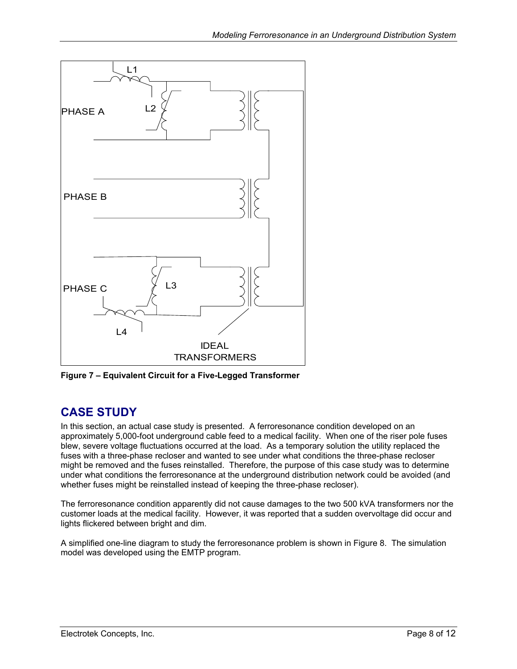<span id="page-7-1"></span><span id="page-7-0"></span>

**Figure 7 – Equivalent Circuit for a Five-Legged Transformer** 

# **CASE STUDY**

In this section, an actual case study is presented. A ferroresonance condition developed on an approximately 5,000-foot underground cable feed to a medical facility. When one of the riser pole fuses blew, severe voltage fluctuations occurred at the load. As a temporary solution the utility replaced the fuses with a three-phase recloser and wanted to see under what conditions the three-phase recloser might be removed and the fuses reinstalled. Therefore, the purpose of this case study was to determine under what conditions the ferroresonance at the underground distribution network could be avoided (and whether fuses might be reinstalled instead of keeping the three-phase recloser).

The ferroresonance condition apparently did not cause damages to the two 500 kVA transformers nor the customer loads at the medical facility. However, it was reported that a sudden overvoltage did occur and lights flickered between bright and dim.

A simplified one-line diagram to study the ferroresonance problem is shown in [Figure 8.](#page-8-1) The simulation model was developed using the EMTP program.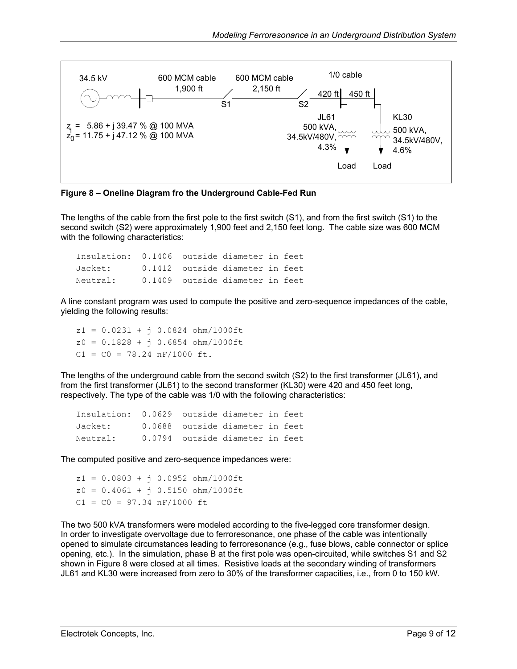<span id="page-8-1"></span><span id="page-8-0"></span>

**Figure 8 – Oneline Diagram fro the Underground Cable-Fed Run** 

The lengths of the cable from the first pole to the first switch (S1), and from the first switch (S1) to the second switch (S2) were approximately 1,900 feet and 2,150 feet long. The cable size was 600 MCM with the following characteristics:

Insulation: 0.1406 outside diameter in feet Jacket: 0.1412 outside diameter in feet Neutral: 0.1409 outside diameter in feet

A line constant program was used to compute the positive and zero-sequence impedances of the cable, yielding the following results:

z1 = 0.0231 + j 0.0824 ohm/1000ft  $z0 = 0.1828 + j 0.6854 ohm/1000ft$  $C1 = C0 = 78.24$  nF/1000 ft.

The lengths of the underground cable from the second switch (S2) to the first transformer (JL61), and from the first transformer (JL61) to the second transformer (KL30) were 420 and 450 feet long, respectively. The type of the cable was 1/0 with the following characteristics:

```
Insulation: 0.0629 outside diameter in feet 
Jacket: 0.0688 outside diameter in feet 
Neutral: 0.0794 outside diameter in feet
```
The computed positive and zero-sequence impedances were:

 $z1 = 0.0803 + j 0.0952 ohm/1000ft$  $z0 = 0.4061 + i 0.5150$  ohm/1000ft  $C1 = C0 = 97.34 nF/1000 ft$ 

The two 500 kVA transformers were modeled according to the five-legged core transformer design. In order to investigate overvoltage due to ferroresonance, one phase of the cable was intentionally opened to simulate circumstances leading to ferroresonance (e.g., fuse blows, cable connector or splice opening, etc.). In the simulation, phase B at the first pole was open-circuited, while switches S1 and S2 shown in [Figure 8](#page-8-1) were closed at all times. Resistive loads at the secondary winding of transformers JL61 and KL30 were increased from zero to 30% of the transformer capacities, i.e., from 0 to 150 kW.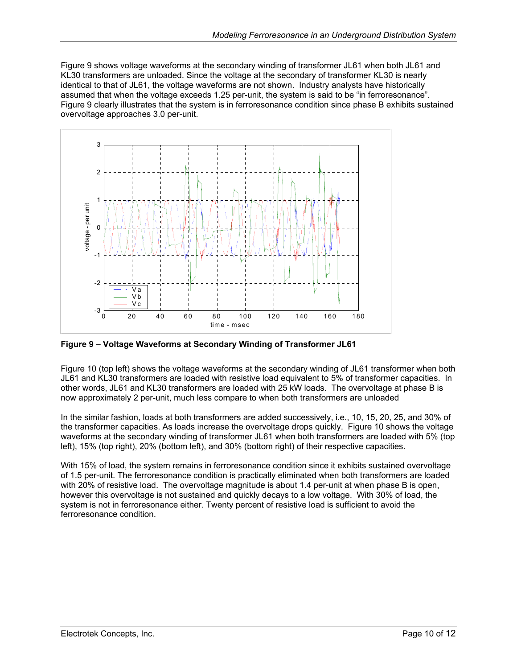<span id="page-9-0"></span>[Figure 9](#page-9-1) shows voltage waveforms at the secondary winding of transformer JL61 when both JL61 and KL30 transformers are unloaded. Since the voltage at the secondary of transformer KL30 is nearly identical to that of JL61, the voltage waveforms are not shown. Industry analysts have historically assumed that when the voltage exceeds 1.25 per-unit, the system is said to be "in ferroresonance". [Figure 9](#page-9-1) clearly illustrates that the system is in ferroresonance condition since phase B exhibits sustained overvoltage approaches 3.0 per-unit.

<span id="page-9-1"></span>

**Figure 9 – Voltage Waveforms at Secondary Winding of Transformer JL61** 

[Figure 10](#page-10-1) (top left) shows the voltage waveforms at the secondary winding of JL61 transformer when both JL61 and KL30 transformers are loaded with resistive load equivalent to 5% of transformer capacities. In other words, JL61 and KL30 transformers are loaded with 25 kW loads. The overvoltage at phase B is now approximately 2 per-unit, much less compare to when both transformers are unloaded

In the similar fashion, loads at both transformers are added successively, i.e., 10, 15, 20, 25, and 30% of the transformer capacities. As loads increase the overvoltage drops quickly. [Figure 10](#page-10-1) shows the voltage waveforms at the secondary winding of transformer JL61 when both transformers are loaded with 5% (top left), 15% (top right), 20% (bottom left), and 30% (bottom right) of their respective capacities.

With 15% of load, the system remains in ferroresonance condition since it exhibits sustained overvoltage of 1.5 per-unit. The ferroresonance condition is practically eliminated when both transformers are loaded with 20% of resistive load. The overvoltage magnitude is about 1.4 per-unit at when phase B is open, however this overvoltage is not sustained and quickly decays to a low voltage. With 30% of load, the system is not in ferroresonance either. Twenty percent of resistive load is sufficient to avoid the ferroresonance condition.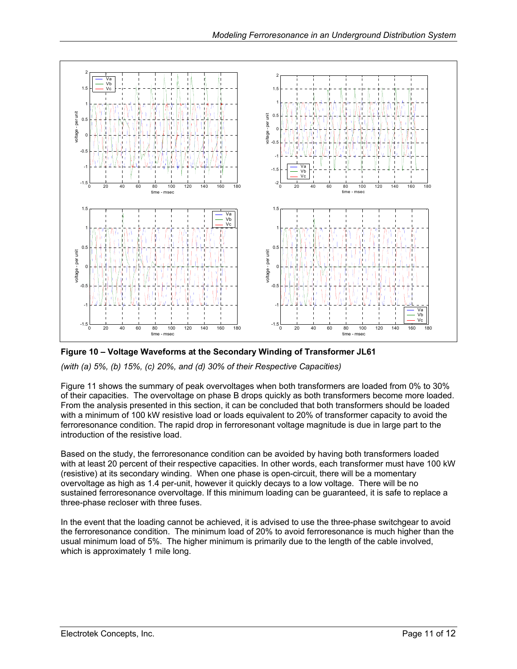<span id="page-10-1"></span><span id="page-10-0"></span>

**Figure 10 – Voltage Waveforms at the Secondary Winding of Transformer JL61** 

*(with (a) 5%, (b) 15%, (c) 20%, and (d) 30% of their Respective Capacities)* 

[Figure 11](#page-11-1) shows the summary of peak overvoltages when both transformers are loaded from 0% to 30% of their capacities. The overvoltage on phase B drops quickly as both transformers become more loaded. From the analysis presented in this section, it can be concluded that both transformers should be loaded with a minimum of 100 kW resistive load or loads equivalent to 20% of transformer capacity to avoid the ferroresonance condition. The rapid drop in ferroresonant voltage magnitude is due in large part to the introduction of the resistive load.

Based on the study, the ferroresonance condition can be avoided by having both transformers loaded with at least 20 percent of their respective capacities. In other words, each transformer must have 100 kW (resistive) at its secondary winding. When one phase is open-circuit, there will be a momentary overvoltage as high as 1.4 per-unit, however it quickly decays to a low voltage. There will be no sustained ferroresonance overvoltage. If this minimum loading can be guaranteed, it is safe to replace a three-phase recloser with three fuses.

In the event that the loading cannot be achieved, it is advised to use the three-phase switchgear to avoid the ferroresonance condition. The minimum load of 20% to avoid ferroresonance is much higher than the usual minimum load of 5%. The higher minimum is primarily due to the length of the cable involved, which is approximately 1 mile long.